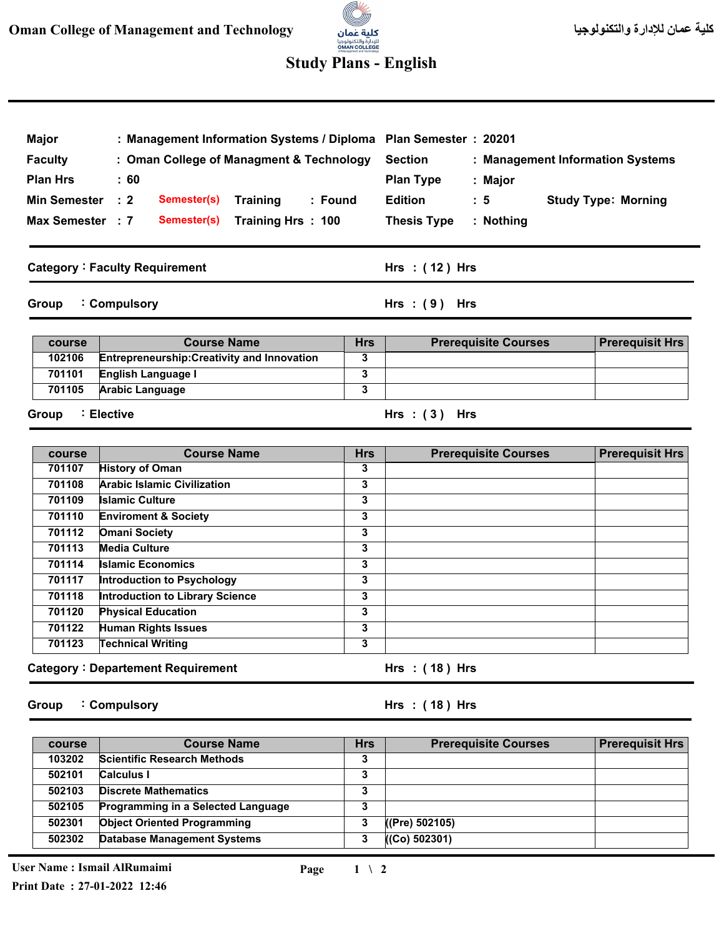## للإدارة والتكنولوجيا<br>**OMAN COLLEGE**<br>st Management and Technoloxy **Study Plans - English**

a.

| <b>Major</b><br>: Management Information Systems / Diploma Plan Semester : 20201 |                                      |                    |                                          |                |                    |                             |  |                                  |
|----------------------------------------------------------------------------------|--------------------------------------|--------------------|------------------------------------------|----------------|--------------------|-----------------------------|--|----------------------------------|
| <b>Faculty</b>                                                                   |                                      |                    | : Oman College of Managment & Technology |                | <b>Section</b>     |                             |  | : Management Information Systems |
| <b>Plan Hrs</b>                                                                  | :60                                  |                    |                                          |                | <b>Plan Type</b>   | : Major                     |  |                                  |
| <b>Min Semester</b>                                                              | $\therefore$ 2                       | Semester(s)        | Training                                 | : Found        | <b>Edition</b>     | : 5                         |  | <b>Study Type: Morning</b>       |
| Max Semester : 7                                                                 |                                      | Semester(s)        | Training Hrs: 100                        |                | <b>Thesis Type</b> | $:$ Nothing                 |  |                                  |
|                                                                                  | <b>Category: Faculty Requirement</b> |                    |                                          |                | Hrs: $(12)$ Hrs    |                             |  |                                  |
| Group                                                                            | : Compulsory                         |                    |                                          | Hrs $:(9)$ Hrs |                    |                             |  |                                  |
|                                                                                  |                                      |                    |                                          |                |                    |                             |  |                                  |
| course                                                                           |                                      | <b>Course Name</b> |                                          | <b>Hrs</b>     |                    | <b>Prerequisite Courses</b> |  | <b>Prerequisit Hrs</b>           |

| course | <b>Course Name</b>                                 | <b>Hrs</b> | <b>Prerequisite Courses</b> | <b>Prerequisit Hrs</b> |
|--------|----------------------------------------------------|------------|-----------------------------|------------------------|
| 102106 | <b>Entrepreneurship: Creativity and Innovation</b> |            |                             |                        |
| 701101 | English Language I                                 |            |                             |                        |
| 701105 | <b>Arabic Language</b>                             |            |                             |                        |
|        |                                                    |            |                             |                        |

**Group Elective :**

| course | <b>Course Name</b>                                          | <b>Hrs</b> | <b>Prerequisite Courses</b> | <b>Prerequisit Hrs</b> |  |
|--------|-------------------------------------------------------------|------------|-----------------------------|------------------------|--|
| 701107 | <b>History of Oman</b>                                      | 3          |                             |                        |  |
| 701108 | <b>Arabic Islamic Civilization</b>                          | 3          |                             |                        |  |
| 701109 | <b>Islamic Culture</b>                                      | 3          |                             |                        |  |
| 701110 | <b>Enviroment &amp; Society</b>                             | 3          |                             |                        |  |
| 701112 | <b>Omani Society</b>                                        | 3          |                             |                        |  |
| 701113 | <b>Media Culture</b>                                        | 3          |                             |                        |  |
| 701114 | <b>Islamic Economics</b>                                    | 3          |                             |                        |  |
| 701117 | Introduction to Psychology                                  | 3          |                             |                        |  |
| 701118 | <b>Introduction to Library Science</b>                      | 3          |                             |                        |  |
| 701120 | <b>Physical Education</b>                                   | 3          |                             |                        |  |
| 701122 | <b>Human Rights Issues</b>                                  | 3          |                             |                        |  |
| 701123 | <b>Technical Writing</b>                                    | 3          |                             |                        |  |
|        | <b>Category: Departement Requirement</b><br>Hrs: $(18)$ Hrs |            |                             |                        |  |

**Group Compulsory :** **( 18 ) Hrs : Hrs**

**( 3 ) Hrs : Hrs**

| course | <b>Course Name</b>                 | <b>Hrs</b> | <b>Prerequisite Courses</b> | <b>Prerequisit Hrs</b> |
|--------|------------------------------------|------------|-----------------------------|------------------------|
| 103202 | <b>Scientific Research Methods</b> | 3          |                             |                        |
| 502101 | <b>Calculus I</b>                  | 3          |                             |                        |
| 502103 | <b>Discrete Mathematics</b>        | 3          |                             |                        |
| 502105 | Programming in a Selected Language | 3          |                             |                        |
| 502301 | <b>Object Oriented Programming</b> | 3          | ((Pre) 502105)              |                        |
| 502302 | <b>Database Management Systems</b> | 3          | ((Co) 502301)               |                        |